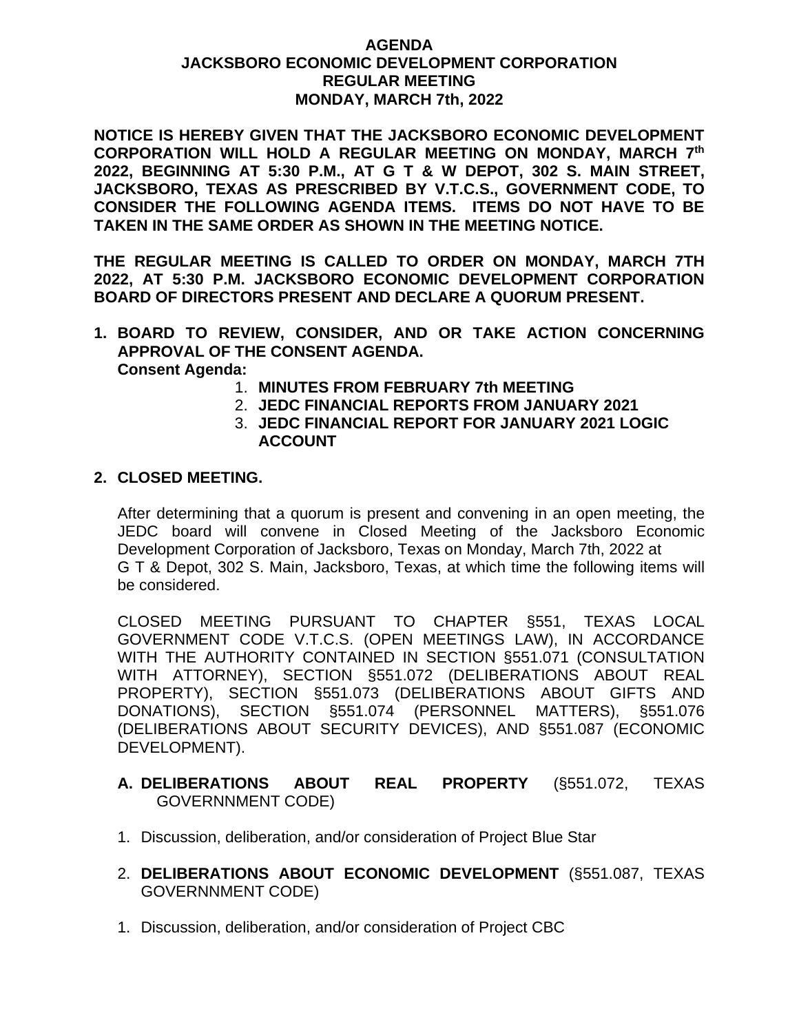## **AGENDA JACKSBORO ECONOMIC DEVELOPMENT CORPORATION REGULAR MEETING MONDAY, MARCH 7th, 2022**

**NOTICE IS HEREBY GIVEN THAT THE JACKSBORO ECONOMIC DEVELOPMENT CORPORATION WILL HOLD A REGULAR MEETING ON MONDAY, MARCH 7 th 2022, BEGINNING AT 5:30 P.M., AT G T & W DEPOT, 302 S. MAIN STREET, JACKSBORO, TEXAS AS PRESCRIBED BY V.T.C.S., GOVERNMENT CODE, TO CONSIDER THE FOLLOWING AGENDA ITEMS. ITEMS DO NOT HAVE TO BE TAKEN IN THE SAME ORDER AS SHOWN IN THE MEETING NOTICE.**

**THE REGULAR MEETING IS CALLED TO ORDER ON MONDAY, MARCH 7TH 2022, AT 5:30 P.M. JACKSBORO ECONOMIC DEVELOPMENT CORPORATION BOARD OF DIRECTORS PRESENT AND DECLARE A QUORUM PRESENT.**

- **1. BOARD TO REVIEW, CONSIDER, AND OR TAKE ACTION CONCERNING APPROVAL OF THE CONSENT AGENDA. Consent Agenda:**
	- 1. **MINUTES FROM FEBRUARY 7th MEETING**
	- 2. **JEDC FINANCIAL REPORTS FROM JANUARY 2021**
	- 3. **JEDC FINANCIAL REPORT FOR JANUARY 2021 LOGIC ACCOUNT**

## **2. CLOSED MEETING.**

After determining that a quorum is present and convening in an open meeting, the JEDC board will convene in Closed Meeting of the Jacksboro Economic Development Corporation of Jacksboro, Texas on Monday, March 7th, 2022 at G T & Depot, 302 S. Main, Jacksboro, Texas, at which time the following items will be considered.

CLOSED MEETING PURSUANT TO CHAPTER §551, TEXAS LOCAL GOVERNMENT CODE V.T.C.S. (OPEN MEETINGS LAW), IN ACCORDANCE WITH THE AUTHORITY CONTAINED IN SECTION §551.071 (CONSULTATION WITH ATTORNEY), SECTION §551.072 (DELIBERATIONS ABOUT REAL PROPERTY), SECTION §551.073 (DELIBERATIONS ABOUT GIFTS AND DONATIONS), SECTION §551.074 (PERSONNEL MATTERS), §551.076 (DELIBERATIONS ABOUT SECURITY DEVICES), AND §551.087 (ECONOMIC DEVELOPMENT).

# **A. DELIBERATIONS ABOUT REAL PROPERTY** (§551.072, TEXAS GOVERNNMENT CODE)

- 1. Discussion, deliberation, and/or consideration of Project Blue Star
- 2. **DELIBERATIONS ABOUT ECONOMIC DEVELOPMENT** (§551.087, TEXAS GOVERNNMENT CODE)
- 1. Discussion, deliberation, and/or consideration of Project CBC